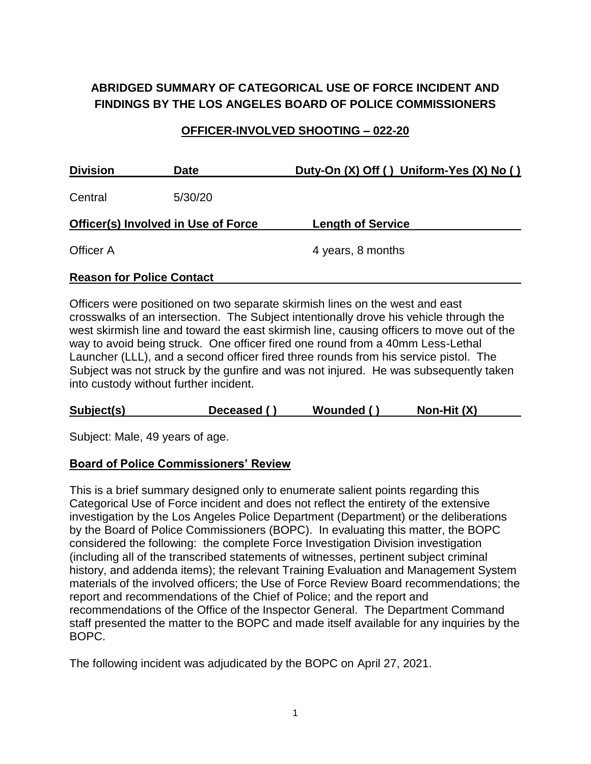# **ABRIDGED SUMMARY OF CATEGORICAL USE OF FORCE INCIDENT AND FINDINGS BY THE LOS ANGELES BOARD OF POLICE COMMISSIONERS**

### **OFFICER-INVOLVED SHOOTING – 022-20**

| <b>Division</b>                            | <b>Date</b> | Duty-On (X) Off () Uniform-Yes (X) No () |  |  |  |
|--------------------------------------------|-------------|------------------------------------------|--|--|--|
| Central                                    | 5/30/20     |                                          |  |  |  |
| <b>Officer(s) Involved in Use of Force</b> |             | <b>Length of Service</b>                 |  |  |  |
| Officer A                                  |             | 4 years, 8 months                        |  |  |  |
| <b>Reason for Police Contact</b>           |             |                                          |  |  |  |

Officers were positioned on two separate skirmish lines on the west and east crosswalks of an intersection. The Subject intentionally drove his vehicle through the west skirmish line and toward the east skirmish line, causing officers to move out of the way to avoid being struck. One officer fired one round from a 40mm Less-Lethal Launcher (LLL), and a second officer fired three rounds from his service pistol. The Subject was not struck by the gunfire and was not injured. He was subsequently taken into custody without further incident.

| Non-Hit (X)<br>Subject(s)<br>Wounded ()<br>Deceased () |  |
|--------------------------------------------------------|--|
|--------------------------------------------------------|--|

Subject: Male, 49 years of age.

### **Board of Police Commissioners' Review**

This is a brief summary designed only to enumerate salient points regarding this Categorical Use of Force incident and does not reflect the entirety of the extensive investigation by the Los Angeles Police Department (Department) or the deliberations by the Board of Police Commissioners (BOPC). In evaluating this matter, the BOPC considered the following: the complete Force Investigation Division investigation (including all of the transcribed statements of witnesses, pertinent subject criminal history, and addenda items); the relevant Training Evaluation and Management System materials of the involved officers; the Use of Force Review Board recommendations; the report and recommendations of the Chief of Police; and the report and recommendations of the Office of the Inspector General. The Department Command staff presented the matter to the BOPC and made itself available for any inquiries by the BOPC.

The following incident was adjudicated by the BOPC on April 27, 2021.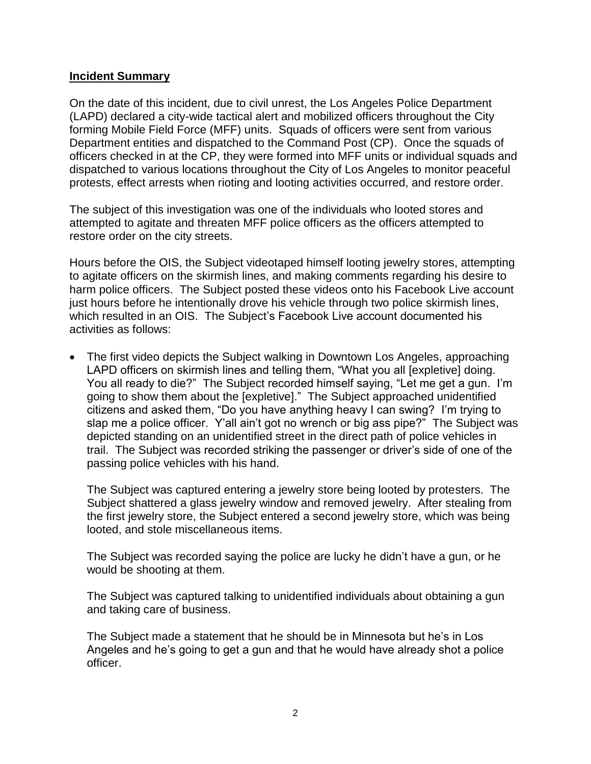#### **Incident Summary**

On the date of this incident, due to civil unrest, the Los Angeles Police Department (LAPD) declared a city-wide tactical alert and mobilized officers throughout the City forming Mobile Field Force (MFF) units. Squads of officers were sent from various Department entities and dispatched to the Command Post (CP). Once the squads of officers checked in at the CP, they were formed into MFF units or individual squads and dispatched to various locations throughout the City of Los Angeles to monitor peaceful protests, effect arrests when rioting and looting activities occurred, and restore order.

The subject of this investigation was one of the individuals who looted stores and attempted to agitate and threaten MFF police officers as the officers attempted to restore order on the city streets.

Hours before the OIS, the Subject videotaped himself looting jewelry stores, attempting to agitate officers on the skirmish lines, and making comments regarding his desire to harm police officers. The Subject posted these videos onto his Facebook Live account just hours before he intentionally drove his vehicle through two police skirmish lines, which resulted in an OIS. The Subject's Facebook Live account documented his activities as follows:

• The first video depicts the Subject walking in Downtown Los Angeles, approaching LAPD officers on skirmish lines and telling them, "What you all [expletive] doing. You all ready to die?" The Subject recorded himself saying, "Let me get a gun. I'm going to show them about the [expletive]." The Subject approached unidentified citizens and asked them, "Do you have anything heavy I can swing? I'm trying to slap me a police officer. Y'all ain't got no wrench or big ass pipe?" The Subject was depicted standing on an unidentified street in the direct path of police vehicles in trail. The Subject was recorded striking the passenger or driver's side of one of the passing police vehicles with his hand.

The Subject was captured entering a jewelry store being looted by protesters. The Subject shattered a glass jewelry window and removed jewelry. After stealing from the first jewelry store, the Subject entered a second jewelry store, which was being looted, and stole miscellaneous items.

The Subject was recorded saying the police are lucky he didn't have a gun, or he would be shooting at them.

The Subject was captured talking to unidentified individuals about obtaining a gun and taking care of business.

The Subject made a statement that he should be in Minnesota but he's in Los Angeles and he's going to get a gun and that he would have already shot a police officer.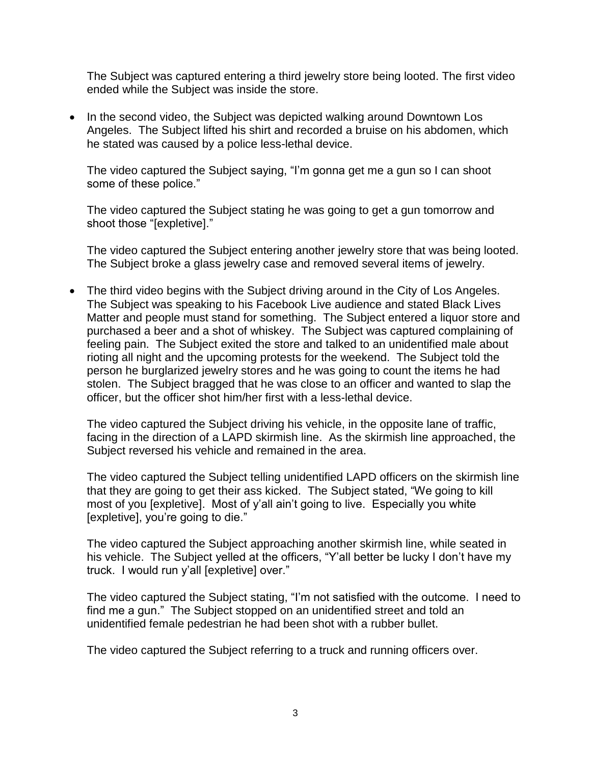The Subject was captured entering a third jewelry store being looted. The first video ended while the Subject was inside the store.

• In the second video, the Subject was depicted walking around Downtown Los Angeles. The Subject lifted his shirt and recorded a bruise on his abdomen, which he stated was caused by a police less-lethal device.

The video captured the Subject saying, "I'm gonna get me a gun so I can shoot some of these police."

The video captured the Subject stating he was going to get a gun tomorrow and shoot those "[expletive]."

The video captured the Subject entering another jewelry store that was being looted. The Subject broke a glass jewelry case and removed several items of jewelry.

• The third video begins with the Subject driving around in the City of Los Angeles. The Subject was speaking to his Facebook Live audience and stated Black Lives Matter and people must stand for something. The Subject entered a liquor store and purchased a beer and a shot of whiskey. The Subject was captured complaining of feeling pain. The Subject exited the store and talked to an unidentified male about rioting all night and the upcoming protests for the weekend. The Subject told the person he burglarized jewelry stores and he was going to count the items he had stolen. The Subject bragged that he was close to an officer and wanted to slap the officer, but the officer shot him/her first with a less-lethal device.

The video captured the Subject driving his vehicle, in the opposite lane of traffic, facing in the direction of a LAPD skirmish line. As the skirmish line approached, the Subject reversed his vehicle and remained in the area.

The video captured the Subject telling unidentified LAPD officers on the skirmish line that they are going to get their ass kicked. The Subject stated, "We going to kill most of you [expletive]. Most of y'all ain't going to live. Especially you white [expletive], you're going to die."

The video captured the Subject approaching another skirmish line, while seated in his vehicle. The Subject yelled at the officers, "Y'all better be lucky I don't have my truck. I would run y'all [expletive] over."

The video captured the Subject stating, "I'm not satisfied with the outcome. I need to find me a gun." The Subject stopped on an unidentified street and told an unidentified female pedestrian he had been shot with a rubber bullet.

The video captured the Subject referring to a truck and running officers over.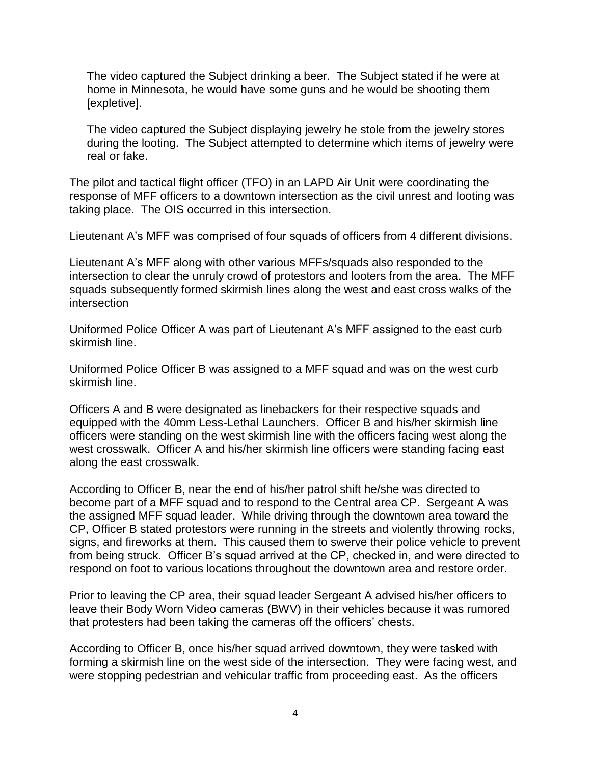The video captured the Subject drinking a beer. The Subject stated if he were at home in Minnesota, he would have some guns and he would be shooting them [expletive].

The video captured the Subject displaying jewelry he stole from the jewelry stores during the looting. The Subject attempted to determine which items of jewelry were real or fake.

The pilot and tactical flight officer (TFO) in an LAPD Air Unit were coordinating the response of MFF officers to a downtown intersection as the civil unrest and looting was taking place. The OIS occurred in this intersection.

Lieutenant A's MFF was comprised of four squads of officers from 4 different divisions.

Lieutenant A's MFF along with other various MFFs/squads also responded to the intersection to clear the unruly crowd of protestors and looters from the area. The MFF squads subsequently formed skirmish lines along the west and east cross walks of the intersection

Uniformed Police Officer A was part of Lieutenant A's MFF assigned to the east curb skirmish line.

Uniformed Police Officer B was assigned to a MFF squad and was on the west curb skirmish line.

Officers A and B were designated as linebackers for their respective squads and equipped with the 40mm Less-Lethal Launchers. Officer B and his/her skirmish line officers were standing on the west skirmish line with the officers facing west along the west crosswalk. Officer A and his/her skirmish line officers were standing facing east along the east crosswalk.

According to Officer B, near the end of his/her patrol shift he/she was directed to become part of a MFF squad and to respond to the Central area CP. Sergeant A was the assigned MFF squad leader. While driving through the downtown area toward the CP, Officer B stated protestors were running in the streets and violently throwing rocks, signs, and fireworks at them. This caused them to swerve their police vehicle to prevent from being struck. Officer B's squad arrived at the CP, checked in, and were directed to respond on foot to various locations throughout the downtown area and restore order.

Prior to leaving the CP area, their squad leader Sergeant A advised his/her officers to leave their Body Worn Video cameras (BWV) in their vehicles because it was rumored that protesters had been taking the cameras off the officers' chests.

According to Officer B, once his/her squad arrived downtown, they were tasked with forming a skirmish line on the west side of the intersection. They were facing west, and were stopping pedestrian and vehicular traffic from proceeding east. As the officers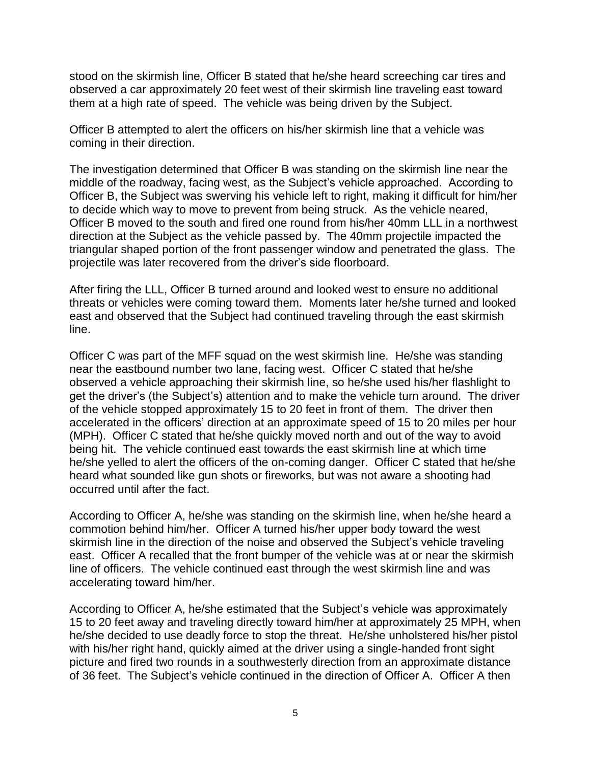stood on the skirmish line, Officer B stated that he/she heard screeching car tires and observed a car approximately 20 feet west of their skirmish line traveling east toward them at a high rate of speed. The vehicle was being driven by the Subject.

Officer B attempted to alert the officers on his/her skirmish line that a vehicle was coming in their direction.

The investigation determined that Officer B was standing on the skirmish line near the middle of the roadway, facing west, as the Subject's vehicle approached. According to Officer B, the Subject was swerving his vehicle left to right, making it difficult for him/her to decide which way to move to prevent from being struck. As the vehicle neared, Officer B moved to the south and fired one round from his/her 40mm LLL in a northwest direction at the Subject as the vehicle passed by. The 40mm projectile impacted the triangular shaped portion of the front passenger window and penetrated the glass. The projectile was later recovered from the driver's side floorboard.

After firing the LLL, Officer B turned around and looked west to ensure no additional threats or vehicles were coming toward them. Moments later he/she turned and looked east and observed that the Subject had continued traveling through the east skirmish line.

Officer C was part of the MFF squad on the west skirmish line. He/she was standing near the eastbound number two lane, facing west. Officer C stated that he/she observed a vehicle approaching their skirmish line, so he/she used his/her flashlight to get the driver's (the Subject's) attention and to make the vehicle turn around. The driver of the vehicle stopped approximately 15 to 20 feet in front of them. The driver then accelerated in the officers' direction at an approximate speed of 15 to 20 miles per hour (MPH). Officer C stated that he/she quickly moved north and out of the way to avoid being hit. The vehicle continued east towards the east skirmish line at which time he/she yelled to alert the officers of the on-coming danger. Officer C stated that he/she heard what sounded like gun shots or fireworks, but was not aware a shooting had occurred until after the fact.

According to Officer A, he/she was standing on the skirmish line, when he/she heard a commotion behind him/her. Officer A turned his/her upper body toward the west skirmish line in the direction of the noise and observed the Subject's vehicle traveling east. Officer A recalled that the front bumper of the vehicle was at or near the skirmish line of officers. The vehicle continued east through the west skirmish line and was accelerating toward him/her.

According to Officer A, he/she estimated that the Subject's vehicle was approximately 15 to 20 feet away and traveling directly toward him/her at approximately 25 MPH, when he/she decided to use deadly force to stop the threat. He/she unholstered his/her pistol with his/her right hand, quickly aimed at the driver using a single-handed front sight picture and fired two rounds in a southwesterly direction from an approximate distance of 36 feet. The Subject's vehicle continued in the direction of Officer A. Officer A then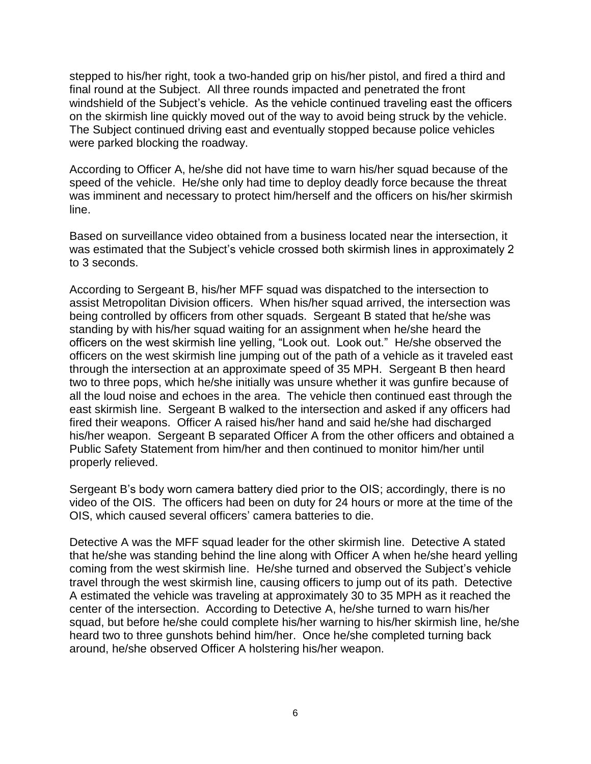stepped to his/her right, took a two-handed grip on his/her pistol, and fired a third and final round at the Subject. All three rounds impacted and penetrated the front windshield of the Subject's vehicle. As the vehicle continued traveling east the officers on the skirmish line quickly moved out of the way to avoid being struck by the vehicle. The Subject continued driving east and eventually stopped because police vehicles were parked blocking the roadway.

According to Officer A, he/she did not have time to warn his/her squad because of the speed of the vehicle. He/she only had time to deploy deadly force because the threat was imminent and necessary to protect him/herself and the officers on his/her skirmish line.

Based on surveillance video obtained from a business located near the intersection, it was estimated that the Subject's vehicle crossed both skirmish lines in approximately 2 to 3 seconds.

According to Sergeant B, his/her MFF squad was dispatched to the intersection to assist Metropolitan Division officers. When his/her squad arrived, the intersection was being controlled by officers from other squads. Sergeant B stated that he/she was standing by with his/her squad waiting for an assignment when he/she heard the officers on the west skirmish line yelling, "Look out. Look out." He/she observed the officers on the west skirmish line jumping out of the path of a vehicle as it traveled east through the intersection at an approximate speed of 35 MPH. Sergeant B then heard two to three pops, which he/she initially was unsure whether it was gunfire because of all the loud noise and echoes in the area. The vehicle then continued east through the east skirmish line. Sergeant B walked to the intersection and asked if any officers had fired their weapons. Officer A raised his/her hand and said he/she had discharged his/her weapon. Sergeant B separated Officer A from the other officers and obtained a Public Safety Statement from him/her and then continued to monitor him/her until properly relieved.

Sergeant B's body worn camera battery died prior to the OIS; accordingly, there is no video of the OIS. The officers had been on duty for 24 hours or more at the time of the OIS, which caused several officers' camera batteries to die.

Detective A was the MFF squad leader for the other skirmish line. Detective A stated that he/she was standing behind the line along with Officer A when he/she heard yelling coming from the west skirmish line. He/she turned and observed the Subject's vehicle travel through the west skirmish line, causing officers to jump out of its path. Detective A estimated the vehicle was traveling at approximately 30 to 35 MPH as it reached the center of the intersection. According to Detective A, he/she turned to warn his/her squad, but before he/she could complete his/her warning to his/her skirmish line, he/she heard two to three gunshots behind him/her. Once he/she completed turning back around, he/she observed Officer A holstering his/her weapon.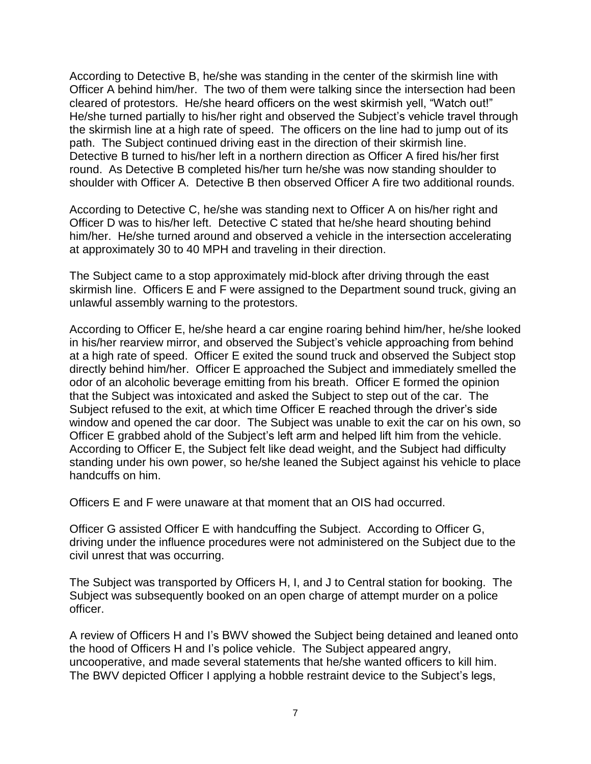According to Detective B, he/she was standing in the center of the skirmish line with Officer A behind him/her. The two of them were talking since the intersection had been cleared of protestors. He/she heard officers on the west skirmish yell, "Watch out!" He/she turned partially to his/her right and observed the Subject's vehicle travel through the skirmish line at a high rate of speed. The officers on the line had to jump out of its path. The Subject continued driving east in the direction of their skirmish line. Detective B turned to his/her left in a northern direction as Officer A fired his/her first round. As Detective B completed his/her turn he/she was now standing shoulder to shoulder with Officer A. Detective B then observed Officer A fire two additional rounds.

According to Detective C, he/she was standing next to Officer A on his/her right and Officer D was to his/her left. Detective C stated that he/she heard shouting behind him/her. He/she turned around and observed a vehicle in the intersection accelerating at approximately 30 to 40 MPH and traveling in their direction.

The Subject came to a stop approximately mid-block after driving through the east skirmish line. Officers E and F were assigned to the Department sound truck, giving an unlawful assembly warning to the protestors.

According to Officer E, he/she heard a car engine roaring behind him/her, he/she looked in his/her rearview mirror, and observed the Subject's vehicle approaching from behind at a high rate of speed. Officer E exited the sound truck and observed the Subject stop directly behind him/her. Officer E approached the Subject and immediately smelled the odor of an alcoholic beverage emitting from his breath. Officer E formed the opinion that the Subject was intoxicated and asked the Subject to step out of the car. The Subject refused to the exit, at which time Officer E reached through the driver's side window and opened the car door. The Subject was unable to exit the car on his own, so Officer E grabbed ahold of the Subject's left arm and helped lift him from the vehicle. According to Officer E, the Subject felt like dead weight, and the Subject had difficulty standing under his own power, so he/she leaned the Subject against his vehicle to place handcuffs on him.

Officers E and F were unaware at that moment that an OIS had occurred.

Officer G assisted Officer E with handcuffing the Subject. According to Officer G, driving under the influence procedures were not administered on the Subject due to the civil unrest that was occurring.

The Subject was transported by Officers H, I, and J to Central station for booking. The Subject was subsequently booked on an open charge of attempt murder on a police officer.

A review of Officers H and I's BWV showed the Subject being detained and leaned onto the hood of Officers H and I's police vehicle. The Subject appeared angry, uncooperative, and made several statements that he/she wanted officers to kill him. The BWV depicted Officer I applying a hobble restraint device to the Subject's legs,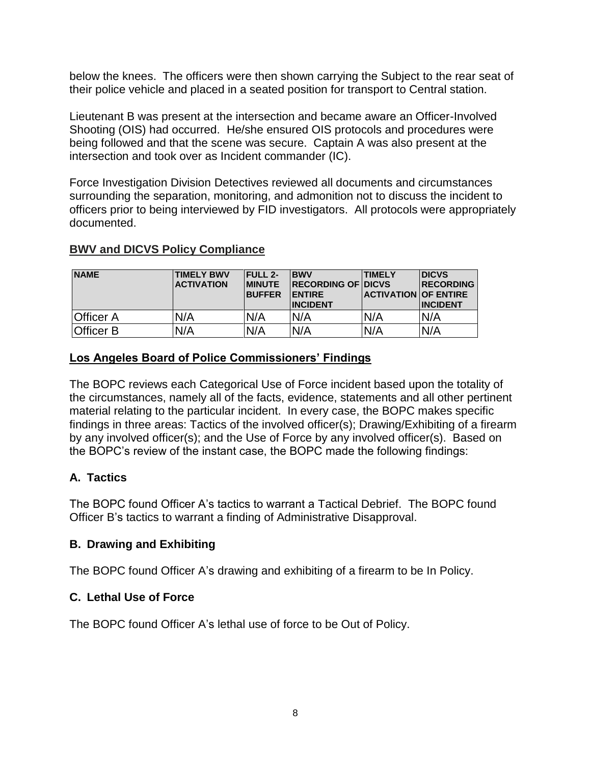below the knees. The officers were then shown carrying the Subject to the rear seat of their police vehicle and placed in a seated position for transport to Central station.

Lieutenant B was present at the intersection and became aware an Officer-Involved Shooting (OIS) had occurred. He/she ensured OIS protocols and procedures were being followed and that the scene was secure. Captain A was also present at the intersection and took over as Incident commander (IC).

Force Investigation Division Detectives reviewed all documents and circumstances surrounding the separation, monitoring, and admonition not to discuss the incident to officers prior to being interviewed by FID investigators. All protocols were appropriately documented.

### **BWV and DICVS Policy Compliance**

| <b>NAME</b>      | <b>TIMELY BWV</b><br><b>ACTIVATION</b> | <b>FULL 2-</b><br><b>IMINUTE</b><br><b>BUFFER</b> | <b>BWV</b><br><b>RECORDING OF DICVS</b><br><b>ENTIRE</b><br><b>INCIDENT</b> | <b>TIMELY</b><br><b>ACTIVATION OF ENTIRE</b> | <b>IDICVS</b><br><b>IRECORDING</b><br><b>INCIDENT</b> |
|------------------|----------------------------------------|---------------------------------------------------|-----------------------------------------------------------------------------|----------------------------------------------|-------------------------------------------------------|
| <b>Officer A</b> | N/A                                    | N/A                                               | N/A                                                                         | N/A                                          | N/A                                                   |
| <b>Officer B</b> | N/A                                    | N/A                                               | N/A                                                                         | N/A                                          | N/A                                                   |

### **Los Angeles Board of Police Commissioners' Findings**

The BOPC reviews each Categorical Use of Force incident based upon the totality of the circumstances, namely all of the facts, evidence, statements and all other pertinent material relating to the particular incident. In every case, the BOPC makes specific findings in three areas: Tactics of the involved officer(s); Drawing/Exhibiting of a firearm by any involved officer(s); and the Use of Force by any involved officer(s). Based on the BOPC's review of the instant case, the BOPC made the following findings:

### **A. Tactics**

The BOPC found Officer A's tactics to warrant a Tactical Debrief. The BOPC found Officer B's tactics to warrant a finding of Administrative Disapproval.

### **B. Drawing and Exhibiting**

The BOPC found Officer A's drawing and exhibiting of a firearm to be In Policy.

### **C. Lethal Use of Force**

The BOPC found Officer A's lethal use of force to be Out of Policy.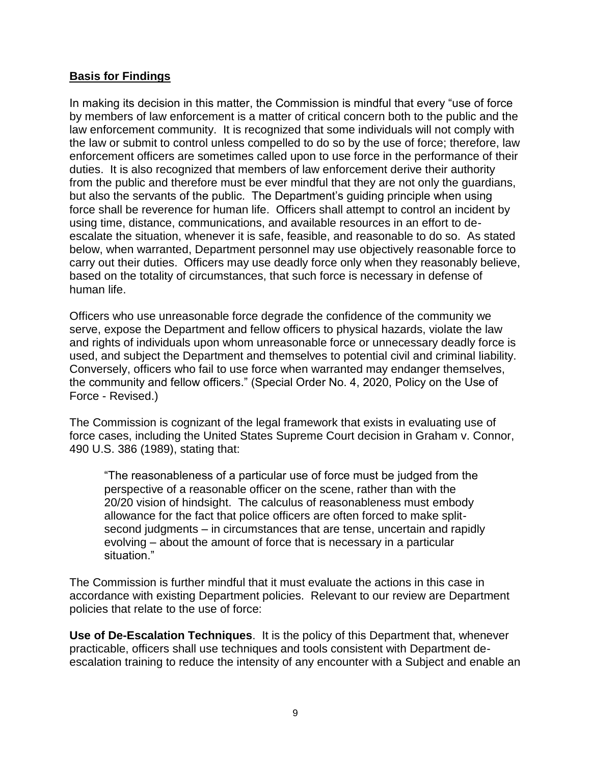#### **Basis for Findings**

In making its decision in this matter, the Commission is mindful that every "use of force by members of law enforcement is a matter of critical concern both to the public and the law enforcement community. It is recognized that some individuals will not comply with the law or submit to control unless compelled to do so by the use of force; therefore, law enforcement officers are sometimes called upon to use force in the performance of their duties. It is also recognized that members of law enforcement derive their authority from the public and therefore must be ever mindful that they are not only the guardians, but also the servants of the public. The Department's guiding principle when using force shall be reverence for human life. Officers shall attempt to control an incident by using time, distance, communications, and available resources in an effort to deescalate the situation, whenever it is safe, feasible, and reasonable to do so. As stated below, when warranted, Department personnel may use objectively reasonable force to carry out their duties. Officers may use deadly force only when they reasonably believe, based on the totality of circumstances, that such force is necessary in defense of human life.

Officers who use unreasonable force degrade the confidence of the community we serve, expose the Department and fellow officers to physical hazards, violate the law and rights of individuals upon whom unreasonable force or unnecessary deadly force is used, and subject the Department and themselves to potential civil and criminal liability. Conversely, officers who fail to use force when warranted may endanger themselves, the community and fellow officers." (Special Order No. 4, 2020, Policy on the Use of Force - Revised.)

The Commission is cognizant of the legal framework that exists in evaluating use of force cases, including the United States Supreme Court decision in Graham v. Connor, 490 U.S. 386 (1989), stating that:

"The reasonableness of a particular use of force must be judged from the perspective of a reasonable officer on the scene, rather than with the 20/20 vision of hindsight. The calculus of reasonableness must embody allowance for the fact that police officers are often forced to make splitsecond judgments – in circumstances that are tense, uncertain and rapidly evolving – about the amount of force that is necessary in a particular situation."

The Commission is further mindful that it must evaluate the actions in this case in accordance with existing Department policies. Relevant to our review are Department policies that relate to the use of force:

**Use of De-Escalation Techniques**. It is the policy of this Department that, whenever practicable, officers shall use techniques and tools consistent with Department deescalation training to reduce the intensity of any encounter with a Subject and enable an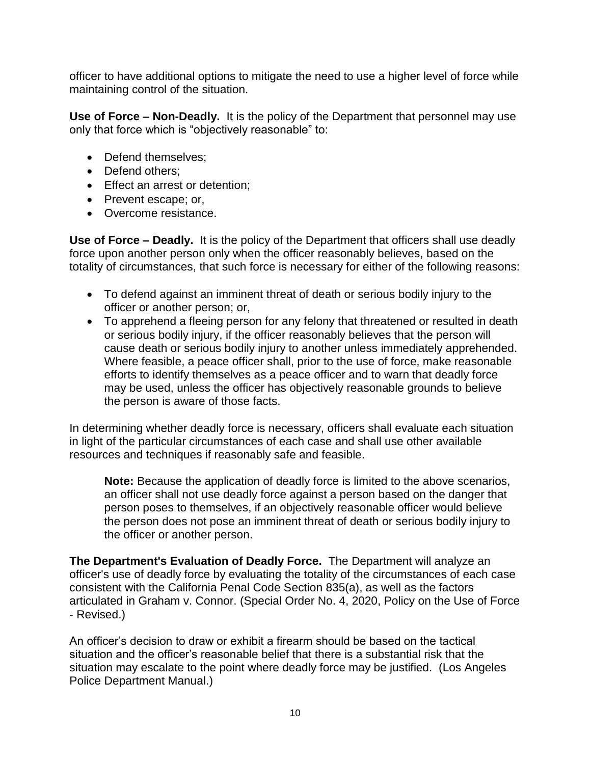officer to have additional options to mitigate the need to use a higher level of force while maintaining control of the situation.

**Use of Force – Non-Deadly.** It is the policy of the Department that personnel may use only that force which is "objectively reasonable" to:

- Defend themselves;
- Defend others:
- Effect an arrest or detention;
- Prevent escape; or,
- Overcome resistance.

**Use of Force – Deadly.** It is the policy of the Department that officers shall use deadly force upon another person only when the officer reasonably believes, based on the totality of circumstances, that such force is necessary for either of the following reasons:

- To defend against an imminent threat of death or serious bodily injury to the officer or another person; or,
- To apprehend a fleeing person for any felony that threatened or resulted in death or serious bodily injury, if the officer reasonably believes that the person will cause death or serious bodily injury to another unless immediately apprehended. Where feasible, a peace officer shall, prior to the use of force, make reasonable efforts to identify themselves as a peace officer and to warn that deadly force may be used, unless the officer has objectively reasonable grounds to believe the person is aware of those facts.

In determining whether deadly force is necessary, officers shall evaluate each situation in light of the particular circumstances of each case and shall use other available resources and techniques if reasonably safe and feasible.

**Note:** Because the application of deadly force is limited to the above scenarios, an officer shall not use deadly force against a person based on the danger that person poses to themselves, if an objectively reasonable officer would believe the person does not pose an imminent threat of death or serious bodily injury to the officer or another person.

**The Department's Evaluation of Deadly Force.** The Department will analyze an officer's use of deadly force by evaluating the totality of the circumstances of each case consistent with the California Penal Code Section 835(a), as well as the factors articulated in Graham v. Connor. (Special Order No. 4, 2020, Policy on the Use of Force - Revised.)

An officer's decision to draw or exhibit a firearm should be based on the tactical situation and the officer's reasonable belief that there is a substantial risk that the situation may escalate to the point where deadly force may be justified. (Los Angeles Police Department Manual.)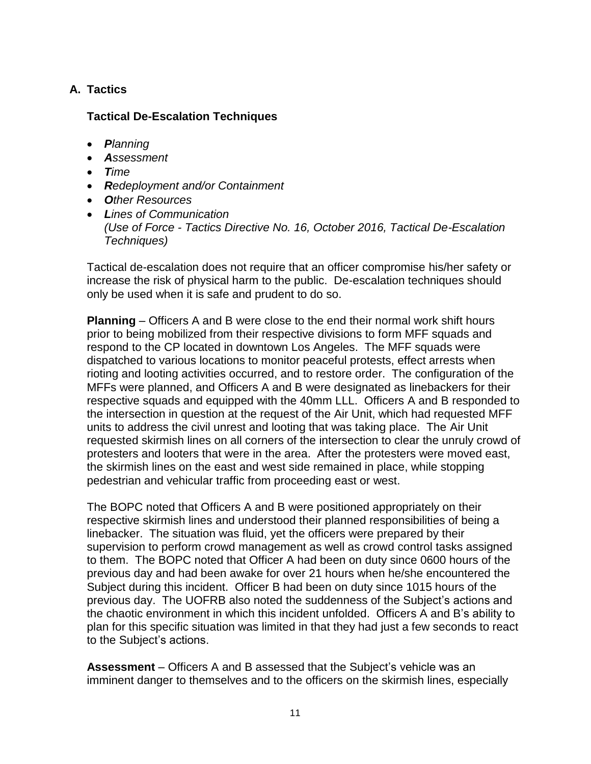## **A. Tactics**

### **Tactical De-Escalation Techniques**

- *Planning*
- *Assessment*
- *Time*
- *Redeployment and/or Containment*
- *Other Resources*
- *Lines of Communication (Use of Force - Tactics Directive No. 16, October 2016, Tactical De-Escalation Techniques)*

Tactical de-escalation does not require that an officer compromise his/her safety or increase the risk of physical harm to the public. De-escalation techniques should only be used when it is safe and prudent to do so.

**Planning** – Officers A and B were close to the end their normal work shift hours prior to being mobilized from their respective divisions to form MFF squads and respond to the CP located in downtown Los Angeles. The MFF squads were dispatched to various locations to monitor peaceful protests, effect arrests when rioting and looting activities occurred, and to restore order. The configuration of the MFFs were planned, and Officers A and B were designated as linebackers for their respective squads and equipped with the 40mm LLL. Officers A and B responded to the intersection in question at the request of the Air Unit, which had requested MFF units to address the civil unrest and looting that was taking place. The Air Unit requested skirmish lines on all corners of the intersection to clear the unruly crowd of protesters and looters that were in the area. After the protesters were moved east, the skirmish lines on the east and west side remained in place, while stopping pedestrian and vehicular traffic from proceeding east or west.

The BOPC noted that Officers A and B were positioned appropriately on their respective skirmish lines and understood their planned responsibilities of being a linebacker. The situation was fluid, yet the officers were prepared by their supervision to perform crowd management as well as crowd control tasks assigned to them. The BOPC noted that Officer A had been on duty since 0600 hours of the previous day and had been awake for over 21 hours when he/she encountered the Subject during this incident. Officer B had been on duty since 1015 hours of the previous day. The UOFRB also noted the suddenness of the Subject's actions and the chaotic environment in which this incident unfolded. Officers A and B's ability to plan for this specific situation was limited in that they had just a few seconds to react to the Subject's actions.

**Assessment** – Officers A and B assessed that the Subject's vehicle was an imminent danger to themselves and to the officers on the skirmish lines, especially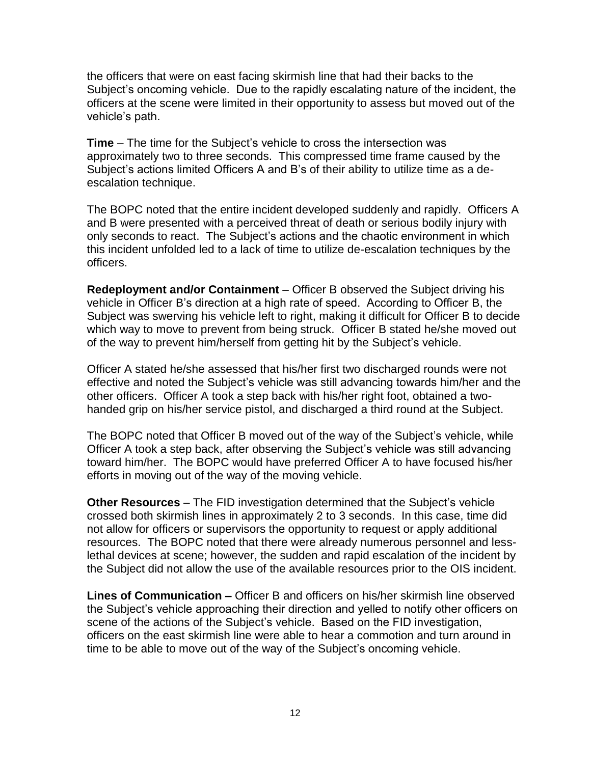the officers that were on east facing skirmish line that had their backs to the Subject's oncoming vehicle. Due to the rapidly escalating nature of the incident, the officers at the scene were limited in their opportunity to assess but moved out of the vehicle's path.

**Time** – The time for the Subject's vehicle to cross the intersection was approximately two to three seconds. This compressed time frame caused by the Subject's actions limited Officers A and B's of their ability to utilize time as a deescalation technique.

The BOPC noted that the entire incident developed suddenly and rapidly. Officers A and B were presented with a perceived threat of death or serious bodily injury with only seconds to react. The Subject's actions and the chaotic environment in which this incident unfolded led to a lack of time to utilize de-escalation techniques by the officers.

**Redeployment and/or Containment** – Officer B observed the Subject driving his vehicle in Officer B's direction at a high rate of speed. According to Officer B, the Subject was swerving his vehicle left to right, making it difficult for Officer B to decide which way to move to prevent from being struck. Officer B stated he/she moved out of the way to prevent him/herself from getting hit by the Subject's vehicle.

Officer A stated he/she assessed that his/her first two discharged rounds were not effective and noted the Subject's vehicle was still advancing towards him/her and the other officers. Officer A took a step back with his/her right foot, obtained a twohanded grip on his/her service pistol, and discharged a third round at the Subject.

The BOPC noted that Officer B moved out of the way of the Subject's vehicle, while Officer A took a step back, after observing the Subject's vehicle was still advancing toward him/her. The BOPC would have preferred Officer A to have focused his/her efforts in moving out of the way of the moving vehicle.

**Other Resources** – The FID investigation determined that the Subject's vehicle crossed both skirmish lines in approximately 2 to 3 seconds. In this case, time did not allow for officers or supervisors the opportunity to request or apply additional resources. The BOPC noted that there were already numerous personnel and lesslethal devices at scene; however, the sudden and rapid escalation of the incident by the Subject did not allow the use of the available resources prior to the OIS incident.

**Lines of Communication –** Officer B and officers on his/her skirmish line observed the Subject's vehicle approaching their direction and yelled to notify other officers on scene of the actions of the Subject's vehicle. Based on the FID investigation, officers on the east skirmish line were able to hear a commotion and turn around in time to be able to move out of the way of the Subject's oncoming vehicle.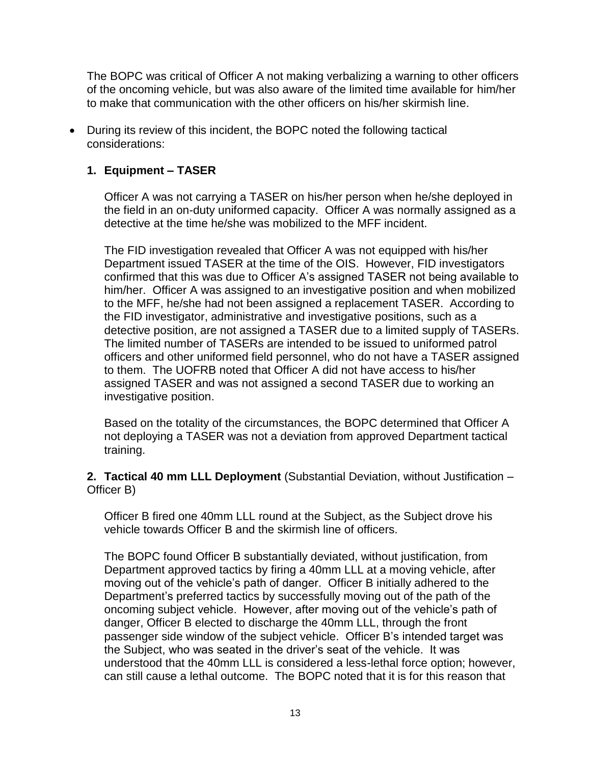The BOPC was critical of Officer A not making verbalizing a warning to other officers of the oncoming vehicle, but was also aware of the limited time available for him/her to make that communication with the other officers on his/her skirmish line.

• During its review of this incident, the BOPC noted the following tactical considerations:

### **1. Equipment – TASER**

Officer A was not carrying a TASER on his/her person when he/she deployed in the field in an on-duty uniformed capacity. Officer A was normally assigned as a detective at the time he/she was mobilized to the MFF incident.

The FID investigation revealed that Officer A was not equipped with his/her Department issued TASER at the time of the OIS. However, FID investigators confirmed that this was due to Officer A's assigned TASER not being available to him/her. Officer A was assigned to an investigative position and when mobilized to the MFF, he/she had not been assigned a replacement TASER. According to the FID investigator, administrative and investigative positions, such as a detective position, are not assigned a TASER due to a limited supply of TASERs. The limited number of TASERs are intended to be issued to uniformed patrol officers and other uniformed field personnel, who do not have a TASER assigned to them. The UOFRB noted that Officer A did not have access to his/her assigned TASER and was not assigned a second TASER due to working an investigative position.

Based on the totality of the circumstances, the BOPC determined that Officer A not deploying a TASER was not a deviation from approved Department tactical training.

**2. Tactical 40 mm LLL Deployment** (Substantial Deviation, without Justification – Officer B)

Officer B fired one 40mm LLL round at the Subject, as the Subject drove his vehicle towards Officer B and the skirmish line of officers.

The BOPC found Officer B substantially deviated, without justification, from Department approved tactics by firing a 40mm LLL at a moving vehicle, after moving out of the vehicle's path of danger. Officer B initially adhered to the Department's preferred tactics by successfully moving out of the path of the oncoming subject vehicle. However, after moving out of the vehicle's path of danger, Officer B elected to discharge the 40mm LLL, through the front passenger side window of the subject vehicle. Officer B's intended target was the Subject, who was seated in the driver's seat of the vehicle. It was understood that the 40mm LLL is considered a less-lethal force option; however, can still cause a lethal outcome. The BOPC noted that it is for this reason that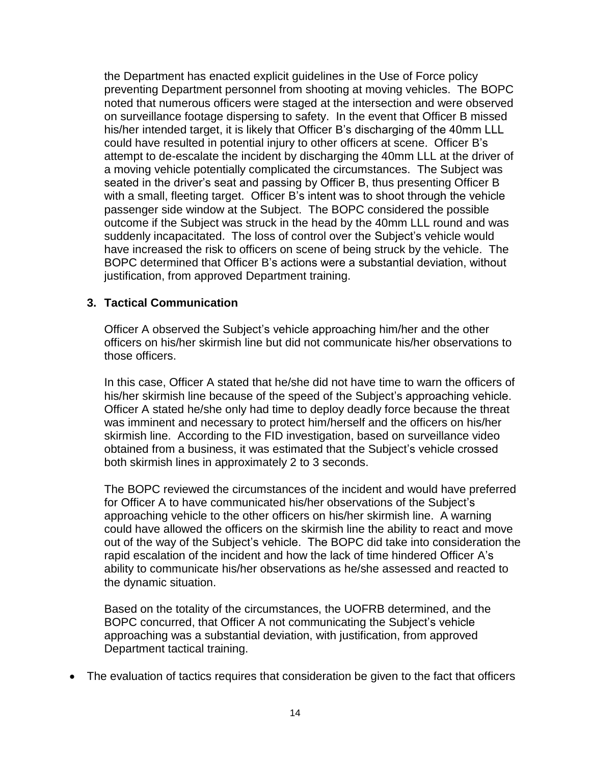the Department has enacted explicit guidelines in the Use of Force policy preventing Department personnel from shooting at moving vehicles. The BOPC noted that numerous officers were staged at the intersection and were observed on surveillance footage dispersing to safety. In the event that Officer B missed his/her intended target, it is likely that Officer B's discharging of the 40mm LLL could have resulted in potential injury to other officers at scene. Officer B's attempt to de-escalate the incident by discharging the 40mm LLL at the driver of a moving vehicle potentially complicated the circumstances. The Subject was seated in the driver's seat and passing by Officer B, thus presenting Officer B with a small, fleeting target. Officer B's intent was to shoot through the vehicle passenger side window at the Subject. The BOPC considered the possible outcome if the Subject was struck in the head by the 40mm LLL round and was suddenly incapacitated. The loss of control over the Subject's vehicle would have increased the risk to officers on scene of being struck by the vehicle. The BOPC determined that Officer B's actions were a substantial deviation, without justification, from approved Department training.

#### **3. Tactical Communication**

Officer A observed the Subject's vehicle approaching him/her and the other officers on his/her skirmish line but did not communicate his/her observations to those officers.

In this case, Officer A stated that he/she did not have time to warn the officers of his/her skirmish line because of the speed of the Subject's approaching vehicle. Officer A stated he/she only had time to deploy deadly force because the threat was imminent and necessary to protect him/herself and the officers on his/her skirmish line. According to the FID investigation, based on surveillance video obtained from a business, it was estimated that the Subject's vehicle crossed both skirmish lines in approximately 2 to 3 seconds.

The BOPC reviewed the circumstances of the incident and would have preferred for Officer A to have communicated his/her observations of the Subject's approaching vehicle to the other officers on his/her skirmish line. A warning could have allowed the officers on the skirmish line the ability to react and move out of the way of the Subject's vehicle. The BOPC did take into consideration the rapid escalation of the incident and how the lack of time hindered Officer A's ability to communicate his/her observations as he/she assessed and reacted to the dynamic situation.

Based on the totality of the circumstances, the UOFRB determined, and the BOPC concurred, that Officer A not communicating the Subject's vehicle approaching was a substantial deviation, with justification, from approved Department tactical training.

• The evaluation of tactics requires that consideration be given to the fact that officers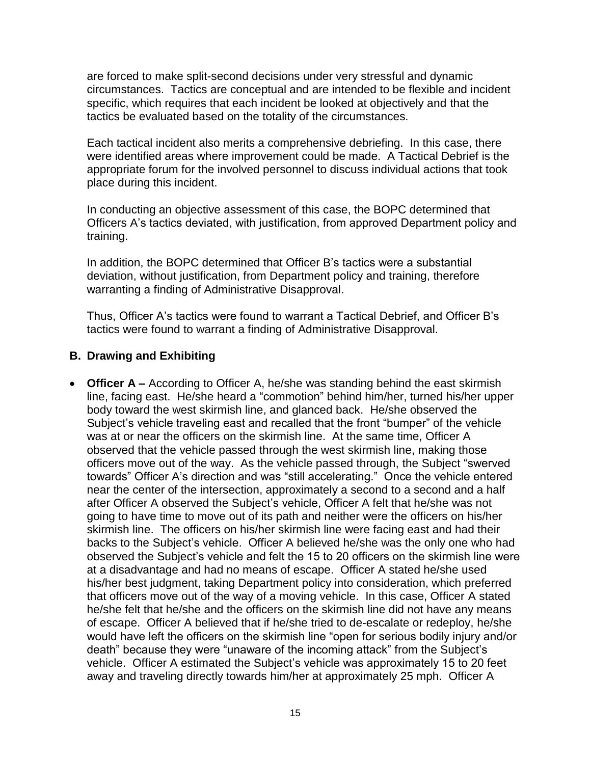are forced to make split-second decisions under very stressful and dynamic circumstances. Tactics are conceptual and are intended to be flexible and incident specific, which requires that each incident be looked at objectively and that the tactics be evaluated based on the totality of the circumstances.

Each tactical incident also merits a comprehensive debriefing. In this case, there were identified areas where improvement could be made. A Tactical Debrief is the appropriate forum for the involved personnel to discuss individual actions that took place during this incident.

In conducting an objective assessment of this case, the BOPC determined that Officers A's tactics deviated, with justification, from approved Department policy and training.

In addition, the BOPC determined that Officer B's tactics were a substantial deviation, without justification, from Department policy and training, therefore warranting a finding of Administrative Disapproval.

Thus, Officer A's tactics were found to warrant a Tactical Debrief, and Officer B's tactics were found to warrant a finding of Administrative Disapproval.

### **B. Drawing and Exhibiting**

• **Officer A –** According to Officer A, he/she was standing behind the east skirmish line, facing east. He/she heard a "commotion" behind him/her, turned his/her upper body toward the west skirmish line, and glanced back. He/she observed the Subject's vehicle traveling east and recalled that the front "bumper" of the vehicle was at or near the officers on the skirmish line. At the same time, Officer A observed that the vehicle passed through the west skirmish line, making those officers move out of the way. As the vehicle passed through, the Subject "swerved towards" Officer A's direction and was "still accelerating." Once the vehicle entered near the center of the intersection, approximately a second to a second and a half after Officer A observed the Subject's vehicle, Officer A felt that he/she was not going to have time to move out of its path and neither were the officers on his/her skirmish line. The officers on his/her skirmish line were facing east and had their backs to the Subject's vehicle. Officer A believed he/she was the only one who had observed the Subject's vehicle and felt the 15 to 20 officers on the skirmish line were at a disadvantage and had no means of escape. Officer A stated he/she used his/her best judgment, taking Department policy into consideration, which preferred that officers move out of the way of a moving vehicle. In this case, Officer A stated he/she felt that he/she and the officers on the skirmish line did not have any means of escape. Officer A believed that if he/she tried to de-escalate or redeploy, he/she would have left the officers on the skirmish line "open for serious bodily injury and/or death" because they were "unaware of the incoming attack" from the Subject's vehicle. Officer A estimated the Subject's vehicle was approximately 15 to 20 feet away and traveling directly towards him/her at approximately 25 mph. Officer A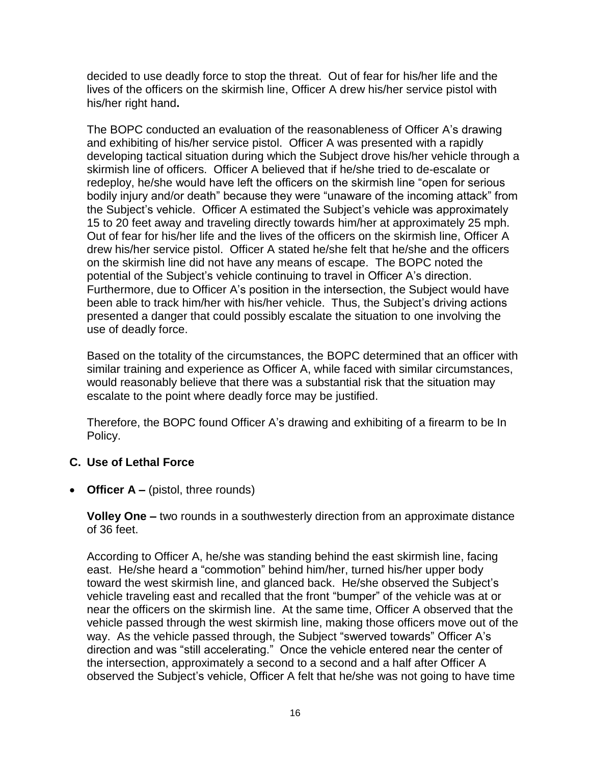decided to use deadly force to stop the threat. Out of fear for his/her life and the lives of the officers on the skirmish line, Officer A drew his/her service pistol with his/her right hand**.**

The BOPC conducted an evaluation of the reasonableness of Officer A's drawing and exhibiting of his/her service pistol. Officer A was presented with a rapidly developing tactical situation during which the Subject drove his/her vehicle through a skirmish line of officers. Officer A believed that if he/she tried to de-escalate or redeploy, he/she would have left the officers on the skirmish line "open for serious bodily injury and/or death" because they were "unaware of the incoming attack" from the Subject's vehicle. Officer A estimated the Subject's vehicle was approximately 15 to 20 feet away and traveling directly towards him/her at approximately 25 mph. Out of fear for his/her life and the lives of the officers on the skirmish line, Officer A drew his/her service pistol. Officer A stated he/she felt that he/she and the officers on the skirmish line did not have any means of escape. The BOPC noted the potential of the Subject's vehicle continuing to travel in Officer A's direction. Furthermore, due to Officer A's position in the intersection, the Subject would have been able to track him/her with his/her vehicle. Thus, the Subject's driving actions presented a danger that could possibly escalate the situation to one involving the use of deadly force.

Based on the totality of the circumstances, the BOPC determined that an officer with similar training and experience as Officer A, while faced with similar circumstances, would reasonably believe that there was a substantial risk that the situation may escalate to the point where deadly force may be justified.

Therefore, the BOPC found Officer A's drawing and exhibiting of a firearm to be In Policy.

#### **C. Use of Lethal Force**

• **Officer A** – (pistol, three rounds)

**Volley One –** two rounds in a southwesterly direction from an approximate distance of 36 feet.

According to Officer A, he/she was standing behind the east skirmish line, facing east. He/she heard a "commotion" behind him/her, turned his/her upper body toward the west skirmish line, and glanced back. He/she observed the Subject's vehicle traveling east and recalled that the front "bumper" of the vehicle was at or near the officers on the skirmish line. At the same time, Officer A observed that the vehicle passed through the west skirmish line, making those officers move out of the way. As the vehicle passed through, the Subject "swerved towards" Officer A's direction and was "still accelerating." Once the vehicle entered near the center of the intersection, approximately a second to a second and a half after Officer A observed the Subject's vehicle, Officer A felt that he/she was not going to have time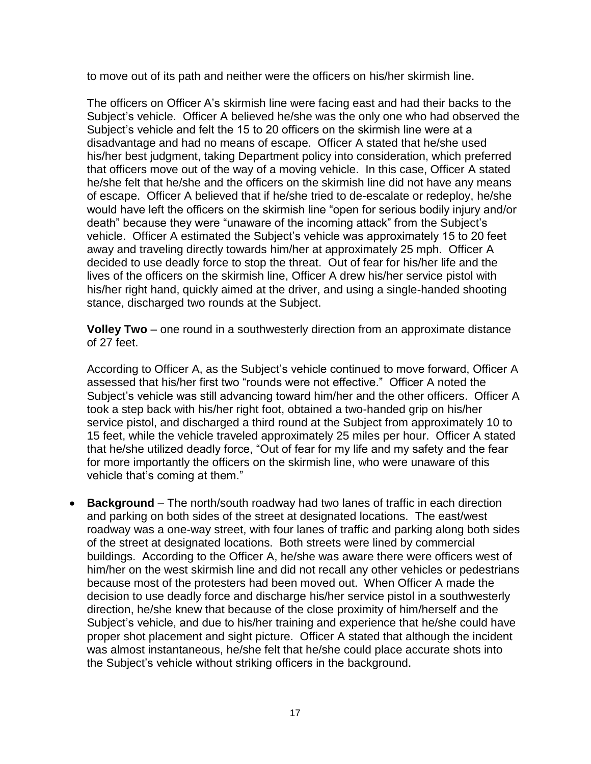to move out of its path and neither were the officers on his/her skirmish line.

The officers on Officer A's skirmish line were facing east and had their backs to the Subject's vehicle. Officer A believed he/she was the only one who had observed the Subject's vehicle and felt the 15 to 20 officers on the skirmish line were at a disadvantage and had no means of escape. Officer A stated that he/she used his/her best judgment, taking Department policy into consideration, which preferred that officers move out of the way of a moving vehicle. In this case, Officer A stated he/she felt that he/she and the officers on the skirmish line did not have any means of escape. Officer A believed that if he/she tried to de-escalate or redeploy, he/she would have left the officers on the skirmish line "open for serious bodily injury and/or death" because they were "unaware of the incoming attack" from the Subject's vehicle. Officer A estimated the Subject's vehicle was approximately 15 to 20 feet away and traveling directly towards him/her at approximately 25 mph. Officer A decided to use deadly force to stop the threat. Out of fear for his/her life and the lives of the officers on the skirmish line, Officer A drew his/her service pistol with his/her right hand, quickly aimed at the driver, and using a single-handed shooting stance, discharged two rounds at the Subject.

**Volley Two** – one round in a southwesterly direction from an approximate distance of 27 feet.

According to Officer A, as the Subject's vehicle continued to move forward, Officer A assessed that his/her first two "rounds were not effective." Officer A noted the Subject's vehicle was still advancing toward him/her and the other officers. Officer A took a step back with his/her right foot, obtained a two-handed grip on his/her service pistol, and discharged a third round at the Subject from approximately 10 to 15 feet, while the vehicle traveled approximately 25 miles per hour. Officer A stated that he/she utilized deadly force, "Out of fear for my life and my safety and the fear for more importantly the officers on the skirmish line, who were unaware of this vehicle that's coming at them."

• **Background** – The north/south roadway had two lanes of traffic in each direction and parking on both sides of the street at designated locations. The east/west roadway was a one-way street, with four lanes of traffic and parking along both sides of the street at designated locations. Both streets were lined by commercial buildings. According to the Officer A, he/she was aware there were officers west of him/her on the west skirmish line and did not recall any other vehicles or pedestrians because most of the protesters had been moved out. When Officer A made the decision to use deadly force and discharge his/her service pistol in a southwesterly direction, he/she knew that because of the close proximity of him/herself and the Subject's vehicle, and due to his/her training and experience that he/she could have proper shot placement and sight picture. Officer A stated that although the incident was almost instantaneous, he/she felt that he/she could place accurate shots into the Subject's vehicle without striking officers in the background.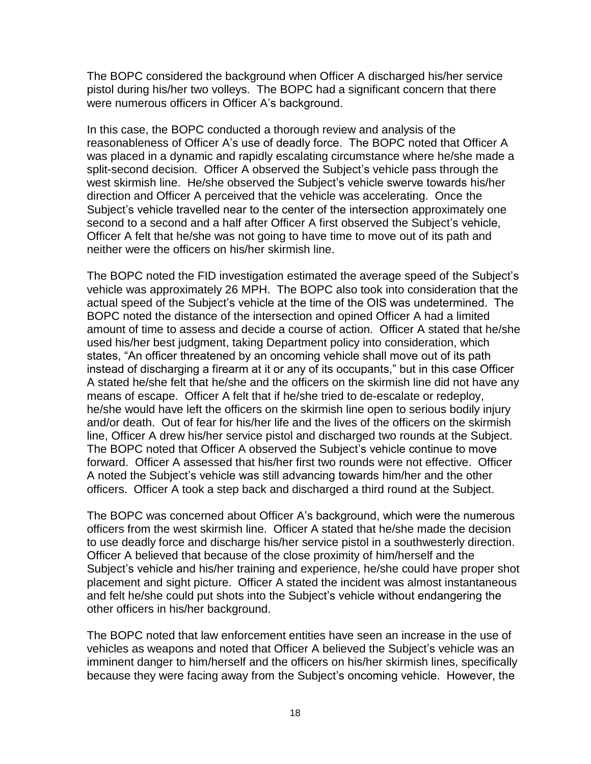The BOPC considered the background when Officer A discharged his/her service pistol during his/her two volleys. The BOPC had a significant concern that there were numerous officers in Officer A's background.

In this case, the BOPC conducted a thorough review and analysis of the reasonableness of Officer A's use of deadly force. The BOPC noted that Officer A was placed in a dynamic and rapidly escalating circumstance where he/she made a split-second decision. Officer A observed the Subject's vehicle pass through the west skirmish line. He/she observed the Subject's vehicle swerve towards his/her direction and Officer A perceived that the vehicle was accelerating. Once the Subject's vehicle travelled near to the center of the intersection approximately one second to a second and a half after Officer A first observed the Subject's vehicle, Officer A felt that he/she was not going to have time to move out of its path and neither were the officers on his/her skirmish line.

The BOPC noted the FID investigation estimated the average speed of the Subject's vehicle was approximately 26 MPH. The BOPC also took into consideration that the actual speed of the Subject's vehicle at the time of the OIS was undetermined. The BOPC noted the distance of the intersection and opined Officer A had a limited amount of time to assess and decide a course of action. Officer A stated that he/she used his/her best judgment, taking Department policy into consideration, which states, "An officer threatened by an oncoming vehicle shall move out of its path instead of discharging a firearm at it or any of its occupants," but in this case Officer A stated he/she felt that he/she and the officers on the skirmish line did not have any means of escape. Officer A felt that if he/she tried to de-escalate or redeploy, he/she would have left the officers on the skirmish line open to serious bodily injury and/or death. Out of fear for his/her life and the lives of the officers on the skirmish line, Officer A drew his/her service pistol and discharged two rounds at the Subject. The BOPC noted that Officer A observed the Subject's vehicle continue to move forward. Officer A assessed that his/her first two rounds were not effective. Officer A noted the Subject's vehicle was still advancing towards him/her and the other officers. Officer A took a step back and discharged a third round at the Subject.

The BOPC was concerned about Officer A's background, which were the numerous officers from the west skirmish line. Officer A stated that he/she made the decision to use deadly force and discharge his/her service pistol in a southwesterly direction. Officer A believed that because of the close proximity of him/herself and the Subject's vehicle and his/her training and experience, he/she could have proper shot placement and sight picture. Officer A stated the incident was almost instantaneous and felt he/she could put shots into the Subject's vehicle without endangering the other officers in his/her background.

The BOPC noted that law enforcement entities have seen an increase in the use of vehicles as weapons and noted that Officer A believed the Subject's vehicle was an imminent danger to him/herself and the officers on his/her skirmish lines, specifically because they were facing away from the Subject's oncoming vehicle. However, the